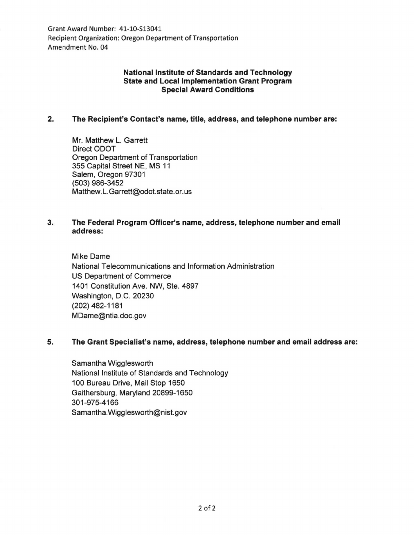Grant Award Number: 41-10-513041 Recipient Organization: Oregon Department of Transportation Amendment No. 04

# National Institute of Standards and Technology State and Local Implementation Grant Program Special Award Conditions

## 2. The Recipient's Contact's name, title, address, and telephone number are:

Mr. Matthew L. Garrett Direct ODOT Oregon Department of Transportation 355 Capital Street NE, MS 11 Salem, Oregon 97301 (503) 986-3452 Matthew.L.Garrett@odot.state.or.us

## 3. The Federal Program Officer's name, address, telephone number and email address:

Mike Dame National Telecommunications and Information Administration US Department of Commerce 1401 Constitution Ave. NW, Ste. 4897 Washington, D.C. 20230 (202) 482-1181 MDame@ntia.doc.gov

### 5. The Grant Specialist's name, address, telephone number and email address are:

Samantha Wigglesworth National Institute of Standards and Technology 100 Bureau Drive, Mail Stop 1650 Gaithersburg, Maryland 20899-1650 301-975-4166 Samantha. Wigglesworth@nist.gov